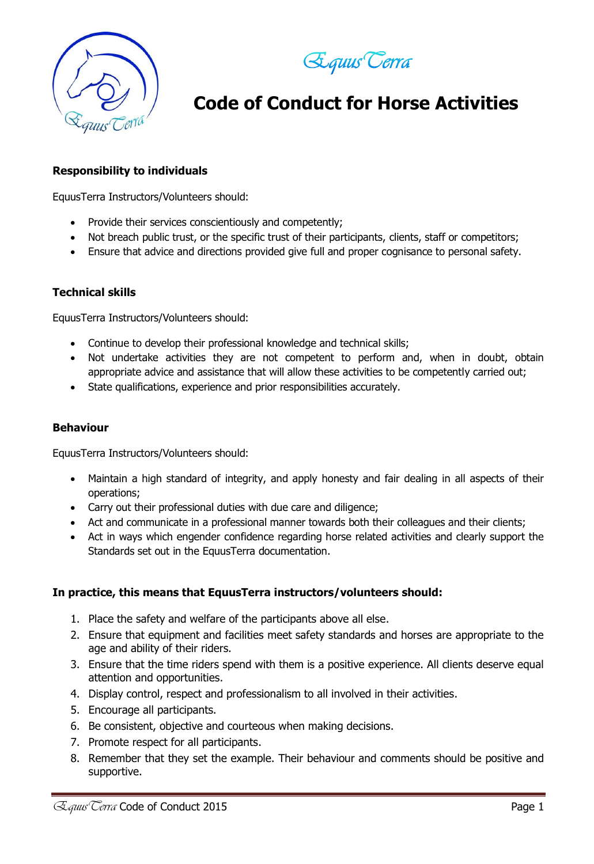



# **Code of Conduct for Horse Activities**

#### **Responsibility to individuals**

EquusTerra Instructors/Volunteers should:

- Provide their services conscientiously and competently;
- Not breach public trust, or the specific trust of their participants, clients, staff or competitors;
- Ensure that advice and directions provided give full and proper cognisance to personal safety.

#### **Technical skills**

EquusTerra Instructors/Volunteers should:

- Continue to develop their professional knowledge and technical skills;
- Not undertake activities they are not competent to perform and, when in doubt, obtain appropriate advice and assistance that will allow these activities to be competently carried out;
- State qualifications, experience and prior responsibilities accurately.

#### **Behaviour**

EquusTerra Instructors/Volunteers should:

- Maintain a high standard of integrity, and apply honesty and fair dealing in all aspects of their operations;
- Carry out their professional duties with due care and diligence;
- Act and communicate in a professional manner towards both their colleagues and their clients;
- Act in ways which engender confidence regarding horse related activities and clearly support the Standards set out in the EquusTerra documentation.

#### **In practice, this means that EquusTerra instructors/volunteers should:**

- 1. Place the safety and welfare of the participants above all else.
- 2. Ensure that equipment and facilities meet safety standards and horses are appropriate to the age and ability of their riders.
- 3. Ensure that the time riders spend with them is a positive experience. All clients deserve equal attention and opportunities.
- 4. Display control, respect and professionalism to all involved in their activities.
- 5. Encourage all participants.
- 6. Be consistent, objective and courteous when making decisions.
- 7. Promote respect for all participants.
- 8. Remember that they set the example. Their behaviour and comments should be positive and supportive.